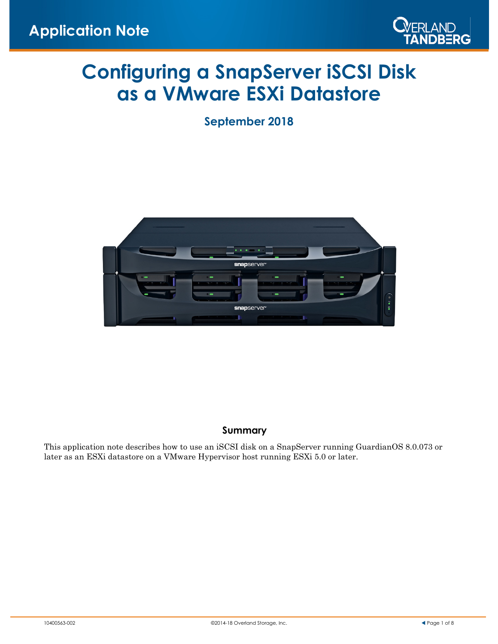

# **Configuring a SnapServer iSCSI Disk as a VMware ESXi Datastore**

**September 2018**



#### **Summary**

This application note describes how to use an iSCSI disk on a SnapServer running GuardianOS 8.0.073 or later as an ESXi datastore on a VMware Hypervisor host running ESXi 5.0 or later.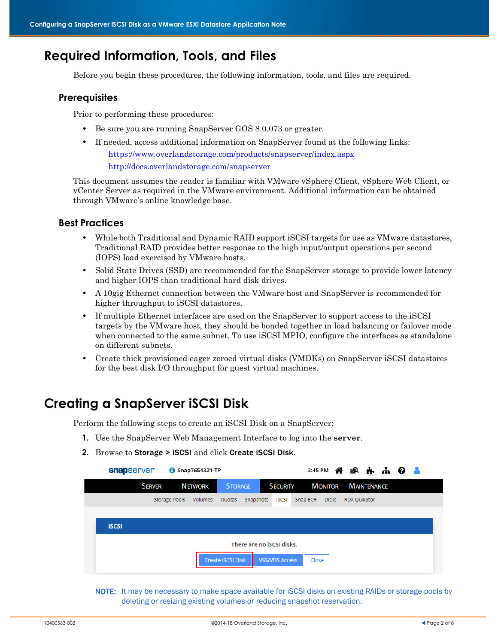### **Required Information, Tools, and Files**

Before you begin these procedures, the following information, tools, and files are required.

#### **Prerequisites**

Prior to performing these procedures:

- **•** Be sure you are running SnapServer GOS 8.0.073 or greater.
- If needed, access additional information on SnapServer found at the following links: https://www.overlandstorage.com/products/snapserver/index.aspx <http://docs.overlandstorage.com/snapserver>

This document assumes the reader is familiar with VMware vSphere Client, vSphere Web Client, or vCenter Server as required in the VMware environment. Additional information can be obtained through VMware's online knowledge base.

#### **Best Practices**

- **•** While both Traditional and Dynamic RAID support iSCSI targets for use as VMware datastores, Traditional RAID provides better response to the high input/output operations per second (IOPS) load exercised by VMware hosts.
- Solid State Drives *(SSD)* are recommended for the SnapServer storage to provide lower latency and higher IOPS than traditional hard disk drives.
- A 10gig Ethernet connection between the VMware host and SnapServer is recommended for higher throughput to iSCSI datastores.
- **•** If multiple Ethernet interfaces are used on the SnapServer to support access to the iSCSI targets by the VMware host, they should be bonded together in load balancing or failover mode when connected to the same subnet. To use iSCSI MPIO, configure the interfaces as standalone on different subnets.
- **•** Create thick provisioned eager zeroed virtual disks (VMDKs) on SnapServer iSCSI datastores for the best disk I/O throughput for guest virtual machines.

### **Creating a SnapServer iSCSI Disk**

Perform the following steps to create an iSCSI Disk on a SnapServer:

- **1.** Use the SnapServer Web Management Interface to log into the **server**.
- <span id="page-1-0"></span>**2.** Browse to Storage > iSCSI and click Create iSCSI Disk.

| snapserver    |               | Snap7654321-TP |                   |                           |                       |          |       |                            |  |  |
|---------------|---------------|----------------|-------------------|---------------------------|-----------------------|----------|-------|----------------------------|--|--|
| <b>SERVER</b> |               | <b>NETWORK</b> | <b>STORAGE</b>    |                           | <b>SECURITY</b>       |          |       | <b>MONITOR MAINTENANCE</b> |  |  |
|               | Storage Pools | Volumes        |                   | Quotas Snapshots          | <b>ISCSI</b>          | Snap ECR | Disks | <b>RDX QuikStor</b>        |  |  |
|               |               |                |                   |                           |                       |          |       |                            |  |  |
| <b>iSCSI</b>  |               |                |                   |                           |                       |          |       |                            |  |  |
|               |               |                |                   | There are no iSCSI disks. |                       |          |       |                            |  |  |
|               |               |                |                   |                           |                       |          |       |                            |  |  |
|               |               |                | Create iSCSI Disk |                           | <b>VSS/VDS Access</b> | Close    |       |                            |  |  |

NOTE: It may be necessary to make space available for iSCSI disks on existing RAIDs or storage pools by deleting or resizing existing volumes or reducing snapshot reservation.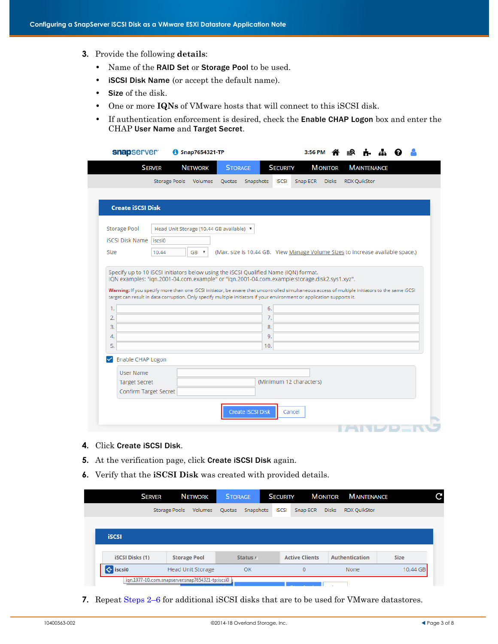- **3.** Provide the following **details**:
	- **•** Name of the RAID Set or Storage Pool to be used.
	- **•** iSCSI Disk Name (or accept the default name).
	- **•** Size of the disk.
	- **•** One or more **IQNs** of VMware hosts that will connect to this iSCSI disk.
	- **•** If authentication enforcement is desired, check the Enable CHAP Logon box and enter the CHAP User Name and Target Secret.

|                                                                                                                                                                                                                                                                                                                                                                                                                                                                  | <b>SERVER</b>                            | <b>NETWORK</b> | <b>STORAGE</b> |                      | <b>SECURITY</b> |                                                                                | <b>MONITOR</b> |                     | <b>MAINTENANCE</b> |  |  |
|------------------------------------------------------------------------------------------------------------------------------------------------------------------------------------------------------------------------------------------------------------------------------------------------------------------------------------------------------------------------------------------------------------------------------------------------------------------|------------------------------------------|----------------|----------------|----------------------|-----------------|--------------------------------------------------------------------------------|----------------|---------------------|--------------------|--|--|
|                                                                                                                                                                                                                                                                                                                                                                                                                                                                  | <b>Storage Pools</b>                     | Volumes        | Quotas         | Snapshots            | <b>ISCSI</b>    | Snap ECR                                                                       | <b>Disks</b>   | <b>RDX QuikStor</b> |                    |  |  |
| <b>Create iSCSI Disk</b>                                                                                                                                                                                                                                                                                                                                                                                                                                         |                                          |                |                |                      |                 |                                                                                |                |                     |                    |  |  |
| <b>Storage Pool</b>                                                                                                                                                                                                                                                                                                                                                                                                                                              | Head Unit Storage (10.44 GB available) ▼ |                |                |                      |                 |                                                                                |                |                     |                    |  |  |
| <b>iSCSI Disk Name</b>   iscsi0                                                                                                                                                                                                                                                                                                                                                                                                                                  |                                          |                |                |                      |                 |                                                                                |                |                     |                    |  |  |
| Size                                                                                                                                                                                                                                                                                                                                                                                                                                                             | 10.44                                    | GB <b>v</b>    |                |                      |                 | (Max. size is 10.44 GB. View Manage Volume Sizes to increase available space.) |                |                     |                    |  |  |
| Specify up to 10 iSCSI initiators below using the iSCSI Qualified Name (IQN) format.<br>IQN examples: "iqn.2001-04.com.example" or "iqn.2001-04.com.example:storage.disk2.sys1.xyz".<br>Warning: If you specify more than one iSCSI initiator, be aware that uncontrolled simultaneous access of multiple initiators to the same iSCSI<br>target can result in data corruption. Only specify multiple initiators if your environment or application supports it. |                                          |                |                |                      |                 |                                                                                |                |                     |                    |  |  |
| 1.<br>2.<br>3.<br>4.                                                                                                                                                                                                                                                                                                                                                                                                                                             |                                          |                |                | 6.<br>7.<br>8.<br>9. |                 |                                                                                |                |                     |                    |  |  |
| 5.                                                                                                                                                                                                                                                                                                                                                                                                                                                               |                                          |                |                | 10.                  |                 |                                                                                |                |                     |                    |  |  |
| Enable CHAP Logon<br>◡                                                                                                                                                                                                                                                                                                                                                                                                                                           |                                          |                |                |                      |                 |                                                                                |                |                     |                    |  |  |
| User Name                                                                                                                                                                                                                                                                                                                                                                                                                                                        |                                          |                |                |                      |                 |                                                                                |                |                     |                    |  |  |
| <b>Target Secret</b><br>Confirm Target Secret                                                                                                                                                                                                                                                                                                                                                                                                                    |                                          |                |                |                      |                 | (Minimum 12 characters)                                                        |                |                     |                    |  |  |

- **4.** Click Create iSCSI Disk.
- **5.** At the verification page, click Create iSCSI Disk again.
- <span id="page-2-0"></span>**6.** Verify that the **iSCSI Disk** was created with provided details.

|                               | <b>SERVER</b>                                    | <b>NETWORK</b>      | <b>STORAGE</b> |           | <b>SECURITY</b> |                       | <b>MONITOR</b> | <b>MAINTENANCE</b>    |             |          |
|-------------------------------|--------------------------------------------------|---------------------|----------------|-----------|-----------------|-----------------------|----------------|-----------------------|-------------|----------|
|                               | <b>Storage Pools</b>                             | <b>Volumes</b>      | Quotas         | Snapshots | <b>ISCSI</b>    | Snap ECR              | <b>Disks</b>   | <b>RDX OuikStor</b>   |             |          |
|                               |                                                  |                     |                |           |                 |                       |                |                       |             |          |
| <b>iSCSI</b>                  |                                                  |                     |                |           |                 |                       |                |                       |             |          |
|                               |                                                  |                     |                |           |                 |                       |                |                       |             |          |
| <b>iSCSI Disks (1)</b>        |                                                  | <b>Storage Pool</b> |                | Status /  |                 | <b>Active Clients</b> |                | <b>Authentication</b> | <b>Size</b> |          |
| $\left  \right\rangle$ iscsi0 |                                                  | Head Unit Storage   |                | OK        |                 | $\mathbf{O}$          |                | <b>None</b>           |             | 10.44 GB |
|                               | ign.1977-10.com.snapserver:snap7654321-tp:iscsi0 |                     |                |           |                 |                       |                |                       |             |          |

**7.** Repeat [Steps 2–](#page-1-0)[6](#page-2-0) for additional iSCSI disks that are to be used for VMware datastores.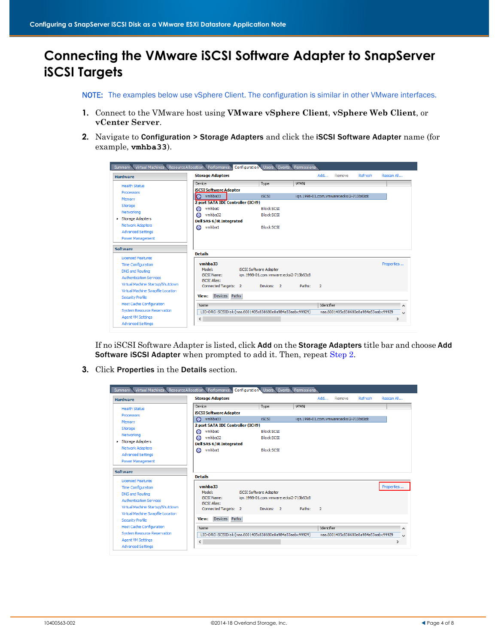## **Connecting the VMware iSCSI Software Adapter to SnapServer iSCSI Targets**

NOTE: The examples below use vSphere Client. The configuration is similar in other VMware interfaces.

- **1.** Connect to the VMware host using **VMware vSphere Client**, **vSphere Web Client**, or **vCenter Server**.
- <span id="page-3-0"></span>**2.** Navigate to Configuration > Storage Adapters and click the iSCSI Software Adapter name (for example, **vmhba33**).

| <b>Hardware</b>                    | <b>Storage Adapters</b>                                  |                                         | Add                      | Remove                                  | Refresh                              | Rescan All    |
|------------------------------------|----------------------------------------------------------|-----------------------------------------|--------------------------|-----------------------------------------|--------------------------------------|---------------|
| <b>Health Status</b>               | Device                                                   | Type                                    | <b>WWN</b>               |                                         |                                      |               |
| Processors                         | <b>iSCSI Software Adapter</b>                            |                                         |                          |                                         |                                      |               |
|                                    | <b>O</b><br>vmhba33                                      | <b>iSCSI</b>                            |                          | ign.1998-01.com.vmware:ecksi2-713b63d8: |                                      |               |
| Memory                             | 2 port SATA IDE Controller (ICH9)                        |                                         |                          |                                         |                                      |               |
| Storage                            | vmhba0<br>G                                              | <b>Block SCSI</b>                       |                          |                                         |                                      |               |
| Networking                         | e<br>vmhba32                                             | <b>Block SCSI</b>                       |                          |                                         |                                      |               |
| Storage Adapters                   | <b>Dell SAS 6/iR Integrated</b>                          |                                         |                          |                                         |                                      |               |
| <b>Network Adapters</b>            | vmhba1<br>a                                              | <b>Block SCSI</b>                       |                          |                                         |                                      |               |
| <b>Advanced Settings</b>           |                                                          |                                         |                          |                                         |                                      |               |
| <b>Power Management</b>            |                                                          |                                         |                          |                                         |                                      |               |
| <b>Software</b>                    |                                                          |                                         |                          |                                         |                                      |               |
|                                    | <b>Details</b>                                           |                                         |                          |                                         |                                      |               |
| <b>Licensed Features</b>           |                                                          |                                         |                          |                                         |                                      |               |
| <b>Time Configuration</b>          | vmhba33<br>Model:                                        | <b>iSCSI Software Adapter</b>           |                          |                                         |                                      | Properties    |
| <b>DNS and Routing</b>             | <b>iSCSI Name:</b>                                       | ign. 1998-01.com.vmware:ecksi2-713b63c8 |                          |                                         |                                      |               |
| <b>Authentication Services</b>     | <b>ISCST Alias:</b>                                      |                                         |                          |                                         |                                      |               |
| Virtual Machine Startup/Shutdown   | Connected Targets: 2                                     | Devices: 2                              | Paths:<br>$\overline{2}$ |                                         |                                      |               |
| Virtual Machine Swapfile Location  |                                                          |                                         |                          |                                         |                                      |               |
| <b>Security Profile</b>            | Devices Paths<br><b>View:</b>                            |                                         |                          |                                         |                                      |               |
| Host Cache Configuration           | Name                                                     |                                         |                          | Identifier                              |                                      | $\wedge$      |
| <b>System Resource Reservation</b> | LIO-ORG iSCSIDisk (naa.6001405c838680e8a984a53aabc99929) |                                         |                          |                                         | naa.6001405c838680e8a984a53aabc99929 | ы             |
| <b>Agent VM Settings</b>           | $\,$ $\,$                                                |                                         |                          |                                         |                                      | $\rightarrow$ |
| <b>Advanced Settings</b>           |                                                          |                                         |                          |                                         |                                      |               |

If no iSCSI Software Adapter is listed, click Add on the Storage Adapters title bar and choose Add Software iSCSI Adapter when prompted to add it. Then, repeat [Step 2.](#page-3-0)

**3.** Click Properties in the Details section.

| <b>Hardware</b>                    | <b>Storage Adapters</b>                                  |                               |                                         |            | Add            | Remove                                  | Refresh                              | Rescan All    |              |
|------------------------------------|----------------------------------------------------------|-------------------------------|-----------------------------------------|------------|----------------|-----------------------------------------|--------------------------------------|---------------|--------------|
| <b>Health Status</b>               | Device                                                   |                               | Type                                    | <b>WWN</b> |                |                                         |                                      |               |              |
| <b>Processors</b>                  | <b>iSCSI Software Adapter</b>                            |                               |                                         |            |                |                                         |                                      |               |              |
|                                    | vmhba33<br>⊝                                             |                               | <b>iSCSI</b>                            |            |                | ign.1998-01.com.vmware:ecksi2-713b63c8: |                                      |               |              |
| Memory                             | 2 port SATA IDE Controller (ICH9)                        |                               |                                         |            |                |                                         |                                      |               |              |
| Storage                            | vmhba0<br>a                                              |                               | <b>Block SCST</b>                       |            |                |                                         |                                      |               |              |
| Networking                         | vmhba32<br>a                                             |                               | <b>Block SCSI</b>                       |            |                |                                         |                                      |               |              |
| Storage Adapters                   | <b>Dell SAS 6/iR Integrated</b>                          |                               |                                         |            |                |                                         |                                      |               |              |
| <b>Network Adapters</b>            | vmhba1<br>⊝                                              |                               | <b>Block SCST</b>                       |            |                |                                         |                                      |               |              |
| <b>Advanced Settings</b>           |                                                          |                               |                                         |            |                |                                         |                                      |               |              |
| <b>Power Management</b>            |                                                          |                               |                                         |            |                |                                         |                                      |               |              |
|                                    |                                                          |                               |                                         |            |                |                                         |                                      |               |              |
| Software                           | <b>Details</b>                                           |                               |                                         |            |                |                                         |                                      |               |              |
| <b>Licensed Features</b>           |                                                          |                               |                                         |            |                |                                         |                                      |               |              |
| <b>Time Configuration</b>          | vmhba33                                                  |                               |                                         |            |                |                                         |                                      | Properties    |              |
| <b>DNS and Routing</b>             | Model:                                                   | <b>iSCSI Software Adapter</b> |                                         |            |                |                                         |                                      |               |              |
| <b>Authentication Services</b>     | <b>iSCSI Name:</b>                                       |                               | ign. 1998-01.com.vmware:ecksi2-713b63c8 |            |                |                                         |                                      |               |              |
| Virtual Machine Startup/Shutdown   | <b>iSCSI Alias:</b>                                      |                               |                                         |            |                |                                         |                                      |               |              |
|                                    | Connected Targets: 2                                     |                               | Devices: 2                              | Paths:     | $\overline{2}$ |                                         |                                      |               |              |
| Virtual Machine Swapfile Location  | Devices Paths<br>View:                                   |                               |                                         |            |                |                                         |                                      |               |              |
| <b>Security Profile</b>            |                                                          |                               |                                         |            |                |                                         |                                      |               |              |
| <b>Host Cache Configuration</b>    | Name                                                     |                               |                                         |            | Identifier     |                                         |                                      |               | Α            |
| <b>System Resource Reservation</b> | LIO-ORG iSCSIDisk (naa.6001405c838680e8a984a53aabc99929) |                               |                                         |            |                |                                         | naa.6001405c838680e8a984a53aabc99929 |               | $\checkmark$ |
| <b>Agent VM Settings</b>           | $\checkmark$                                             |                               |                                         |            |                |                                         |                                      | $\rightarrow$ |              |
|                                    |                                                          |                               |                                         |            |                |                                         |                                      |               |              |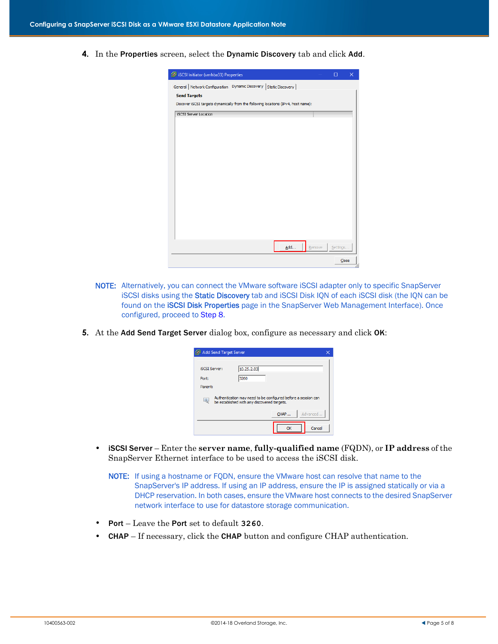**4.** In the Properties screen, select the Dynamic Discovery tab and click Add.

| iSCSI Initiator (vmhba33) Properties                                               |     |        | п        | $\times$ |
|------------------------------------------------------------------------------------|-----|--------|----------|----------|
| General   Network Configuration   Dynamic Discovery   Static Discovery             |     |        |          |          |
| <b>Send Targets</b>                                                                |     |        |          |          |
| Discover iSCSI targets dynamically from the following locations (IPv4, host name): |     |        |          |          |
| <b>iSCSI Server Location</b>                                                       |     |        |          |          |
|                                                                                    |     |        |          |          |
|                                                                                    |     |        |          |          |
|                                                                                    |     |        |          |          |
|                                                                                    |     |        |          |          |
|                                                                                    |     |        |          |          |
|                                                                                    |     |        |          |          |
|                                                                                    |     |        |          |          |
|                                                                                    |     |        |          |          |
|                                                                                    |     |        |          |          |
|                                                                                    |     |        |          |          |
|                                                                                    |     |        |          |          |
|                                                                                    |     |        |          |          |
|                                                                                    |     |        |          |          |
|                                                                                    |     |        |          |          |
|                                                                                    |     |        |          |          |
|                                                                                    |     |        |          |          |
|                                                                                    | Add | Remove | Settings |          |
|                                                                                    |     |        |          | Close    |

- NOTE: Alternatively, you can connect the VMware software iSCSI adapter only to specific SnapServer iSCSI disks using the Static Discovery tab and iSCSI Disk IQN of each iSCSI disk (the IQN can be found on the **iSCSI Disk Properties** page in the SnapServer Web Management Interface). Once configured, proceed to [Step 8](#page-5-0).
- **5.** At the Add Send Target Server dialog box, configure as necessary and click OK:

|                               | Add Send Target Server |                                                                                                              |      |    |          |
|-------------------------------|------------------------|--------------------------------------------------------------------------------------------------------------|------|----|----------|
| <b>ISCST Server:</b><br>Port: |                        | 10.25.2.83<br>3260                                                                                           |      |    |          |
| Parent:<br>L.                 |                        | Authentication may need to be configured before a session can<br>be established with any discovered targets. |      |    |          |
|                               |                        |                                                                                                              | CHAP |    | Advanced |
|                               |                        |                                                                                                              |      | OK | Cancel   |

- **•** iSCSI Server Enter the **server name**, **fully-qualified name** (FQDN), or **IP address** of the SnapServer Ethernet interface to be used to access the iSCSI disk.
	- NOTE: If using a hostname or FQDN, ensure the VMware host can resolve that name to the SnapServer's IP address. If using an IP address, ensure the IP is assigned statically or via a DHCP reservation. In both cases, ensure the VMware host connects to the desired SnapServer network interface to use for datastore storage communication.
- **•** Port Leave the Port set to default **3260**.
- **CHAP** If necessary, click the **CHAP** button and configure CHAP authentication.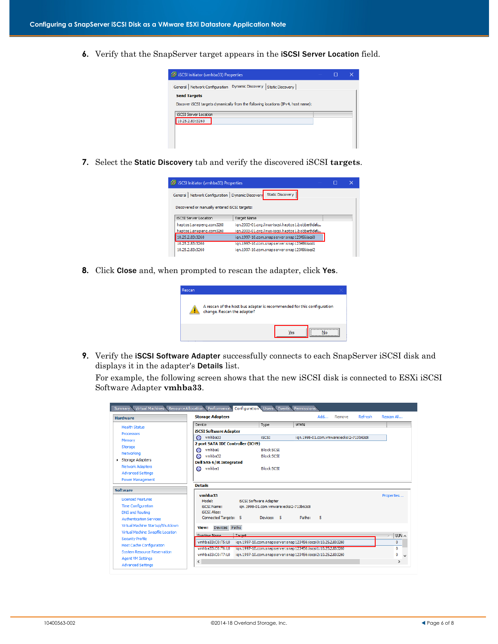**6.** Verify that the SnapServer target appears in the iSCSI Server Location field.



**7.** Select the Static Discovery tab and verify the discovered iSCSI **targets**.

| iSCSI Initiator (vmhba33) Properties                                                                                  |                                                 | П | × |
|-----------------------------------------------------------------------------------------------------------------------|-------------------------------------------------|---|---|
| General   Network Configuration   Dynamic Discovery                                                                   | <b>Static Discovery</b>                         |   |   |
|                                                                                                                       |                                                 |   |   |
| Discovered or manually entered iSCSI targets:                                                                         |                                                 |   |   |
|                                                                                                                       |                                                 |   |   |
|                                                                                                                       | <b>Target Name</b>                              |   |   |
|                                                                                                                       | ign.2003-01.org.linux-iscsi.haptos1.bobbethdafu |   |   |
|                                                                                                                       | ign.2003-01.org.linux-iscsi.haptos1.bobbethdefu |   |   |
|                                                                                                                       | ign.1997-10.com.snapserver:snap123456:iscsi0    |   |   |
| <b>ISCSI Server Location</b><br>haptos1.snapeng.com:3260<br>haptos1.snapeng.com:3260<br>10.25.2.83:3260<br>1005の実施発見所 | ign.1997-10.com.snapserver:snap123456:iscsi1    |   |   |

<span id="page-5-0"></span>**8.** Click Close and, when prompted to rescan the adapter, click Yes.



**9.** Verify the **iSCSI Software Adapter** successfully connects to each SnapServer iSCSI disk and displays it in the adapter's Details list.

For example, the following screen shows that the new iSCSI disk is connected to ESXi iSCSI Software Adapter **vmhba33**.

| <b>Hardware</b>                    | <b>Storage Adapters</b>           |        |                                                              |            | Add | Remove                                  | Refresh | Rescan All                |
|------------------------------------|-----------------------------------|--------|--------------------------------------------------------------|------------|-----|-----------------------------------------|---------|---------------------------|
| <b>Health Status</b>               | Device                            |        | Type                                                         | <b>WWN</b> |     |                                         |         |                           |
| <b>Processors</b>                  | <b>iSCSI Software Adapter</b>     |        |                                                              |            |     |                                         |         |                           |
| Memory                             | vmhba33<br>a                      |        | <b>iSCSI</b>                                                 |            |     | ign.1998-01.com.vmware:ecksi2-713b63d8: |         |                           |
| Storage                            | 2 port SATA IDE Controller (ICH9) |        |                                                              |            |     |                                         |         |                           |
| Networking                         | vmhba0<br>G                       |        | <b>Block SCST</b>                                            |            |     |                                         |         |                           |
|                                    | vmhba32<br>a                      |        | <b>Block SCSI</b>                                            |            |     |                                         |         |                           |
| Storage Adapters                   | <b>Dell SAS 6/iR Integrated</b>   |        |                                                              |            |     |                                         |         |                           |
| <b>Network Adapters</b>            | vmhba1<br>G                       |        | <b>Block SCSI</b>                                            |            |     |                                         |         |                           |
| <b>Advanced Settings</b>           |                                   |        |                                                              |            |     |                                         |         |                           |
| <b>Power Management</b>            |                                   |        |                                                              |            |     |                                         |         |                           |
| <b>Software</b>                    | <b>Details</b>                    |        |                                                              |            |     |                                         |         |                           |
|                                    | vmhha33                           |        |                                                              |            |     |                                         |         | Properties                |
| <b>Licensed Features</b>           | Model:                            |        | <b>iSCSI Software Adapter</b>                                |            |     |                                         |         |                           |
| <b>Time Configuration</b>          | <b>iSCST Name:</b>                |        | ign. 1998-01.com.vmware:ecksi2-713b63c8                      |            |     |                                         |         |                           |
| <b>DNS and Routing</b>             | <b>iSCSI Alias:</b>               |        |                                                              |            |     |                                         |         |                           |
| <b>Authentication Services</b>     | Connected Targets: 5              |        | Devices: 5                                                   | Paths:     | 5   |                                         |         |                           |
| Virtual Machine Startup/Shutdown   | Devices Paths<br>View:            |        |                                                              |            |     |                                         |         |                           |
| Virtual Machine Swapfile Location  |                                   |        |                                                              |            |     |                                         |         |                           |
| Security Profile                   | <b>Runtime Name</b>               | Target |                                                              |            |     |                                         |         | $LUN \wedge$<br>$\lambda$ |
| <b>Host Cache Configuration</b>    | vmhba33:C0:T5:L0                  |        | ign.1997-10.com.snapserver:snap123456:iscsi0:10.25.2.83:3260 |            |     |                                         |         | 0                         |
| <b>System Resource Reservation</b> | vmhoskkReimf6REi                  |        | ign:1997-10.com.snapserver:snap1284569iscs114107252888260    |            |     |                                         |         | $\mathbf{0}$              |
| <b>Agent VM Settings</b>           | vmhba33:C0:T7:L0                  |        | ign.1997-10.com.snapserver:snap123456:iscsi2:10.25.2.83:3260 |            |     |                                         |         | $\bf{0}$<br><b>M</b>      |
| <b>Advanced Settings</b>           | $\hat{~}$                         |        |                                                              |            |     |                                         |         | $\rightarrow$             |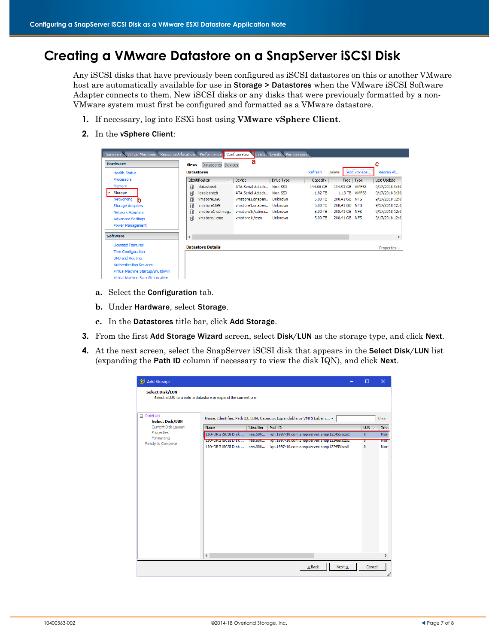# **Creating a VMware Datastore on a SnapServer iSCSI Disk**

Any iSCSI disks that have previously been configured as iSCSI datastores on this or another VMware host are automatically available for use in Storage > Datastores when the VMware iSCSI Software Adapter connects to them. New iSCSI disks or any disks that were previously formatted by a non-VMware system must first be configured and formatted as a VMware datastore.

- **1.** If necessary, log into ESXi host using **VMware vSphere Client**.
- **2.** In the vSphere Client:

| Virtual Machines Resource Allocation Performance<br>Summary |                   |                                               | Configuration Users Events Permissions |            |           |               |             |                |
|-------------------------------------------------------------|-------------------|-----------------------------------------------|----------------------------------------|------------|-----------|---------------|-------------|----------------|
| <b>Hardware</b>                                             | View:             | Datastores Devices                            | а                                      |            |           |               |             | с              |
| <b>Health Status</b>                                        | <b>Datastores</b> |                                               |                                        |            | Refresh   | Delete        | Add Storage | Rescan All     |
| <b>Processors</b>                                           |                   | Identification<br>$\mathcal{P}^{\mathcal{A}}$ | Device                                 | Drive Type | Capacity  | Free          | Type        | Last Update    |
| Memory                                                      | 目                 | datastore1                                    | ATA Serial Attach Non-SSD              |            | 144.00 GB | 134.93 GB     | VMFS3       | 9/17/2018 3:30 |
| Storage<br>k.                                               | 目                 | localscratch                                  | ATA Serial Attach Non-SSD              |            | 1.82 TB   | 1.13 TB       | VMFS3       | 9/17/2018 3:30 |
| Networking<br>n                                             | 目                 | vmstore1696                                   | vmstore1.snapen                        | Unknown    | 5.00 TB   | 208.41 GB NFS |             | 9/17/2018 12:0 |
| <b>Storage Adapters</b>                                     | 目                 | vmstore1699                                   | vmstore1.snapen                        | Unknown    | 5.00 TB   | 208.41 GB NFS |             | 9/17/2018 12:0 |
| <b>Network Adapters</b>                                     | 目                 | vmstore1-cdimag                               | vmstore1:/cdima                        | Unknown    | 5.00 TB   | 208.41 GB NFS |             | 9/17/2018 12:0 |
| <b>Advanced Settings</b>                                    | 目                 | vmstore1-enzo                                 | vmstore1:/enzo                         | Unknown    | 5.00 TB   | 208.41 GB     | NFS         | 9/17/2018 12:0 |
| <b>Power Management</b>                                     |                   |                                               |                                        |            |           |               |             |                |
| <b>Software</b>                                             | $\checkmark$      |                                               |                                        |            |           |               |             |                |
| <b>Licensed Features</b>                                    |                   | <b>Datastore Details</b>                      |                                        |            |           |               |             | Properties     |
| <b>Time Configuration</b>                                   |                   |                                               |                                        |            |           |               |             |                |
| DNS and Routing                                             |                   |                                               |                                        |            |           |               |             |                |
| <b>Authentication Services</b>                              |                   |                                               |                                        |            |           |               |             |                |
| Virtual Machine Startup/Shutdown                            |                   |                                               |                                        |            |           |               |             |                |
| Victual Machine Swanfile Location                           |                   |                                               |                                        |            |           |               |             |                |

- **a.** Select the Configuration tab.
- **b.** Under Hardware, select Storage.
- **c.** In the Datastores title bar, click Add Storage.
- **3.** From the first Add Storage Wizard screen, select Disk/LUN as the storage type, and click Next.
- **4.** At the next screen, select the SnapServer iSCSI disk that appears in the Select Disk/LUN list (expanding the Path ID column if necessary to view the disk IQN), and click Next.

| Add Storage                          |                                                              |            |                                                                          | $\Box$       | $\times$              |
|--------------------------------------|--------------------------------------------------------------|------------|--------------------------------------------------------------------------|--------------|-----------------------|
| <b>Select Disk/LUN</b>               | Select a LUN to create a datastore or expand the current one |            |                                                                          |              |                       |
| □ Disk/LUN<br><b>Select Disk/LUN</b> |                                                              |            | Name, Identifier, Path ID, LUN, Capacity, Expandable or VMFS Label c +   |              | Clear                 |
| Current Disk Layout                  | Name                                                         | Identifier | Path ID                                                                  | $LUN \times$ | Drive                 |
| Properties<br>Formatting             | LIO-ORG ISCSI Disk                                           | naa.600    | ign.1997-10.com.snapserver:snap123456:iscsi0                             | $\mathbf{0}$ | <b>Non-</b>           |
| Ready to Complete                    | <b>LID-URG ISOSI DISK</b>                                    | naa.buu    | 100.1997-10.com.snapserversnap1z6#568882                                 | U            | <b>NO<sub>I</sub></b> |
|                                      |                                                              |            | LIO-ORG iSCSI Disk  naa.600 iqn.1997-10.com.snapserver:snap123456:iscsi1 | $\mathbf{0}$ | Non-                  |
|                                      |                                                              |            |                                                                          |              |                       |
|                                      | $\hat{~}$                                                    |            |                                                                          |              |                       |
|                                      |                                                              |            | Next<br>$\leq$ Back                                                      | Cancel       |                       |